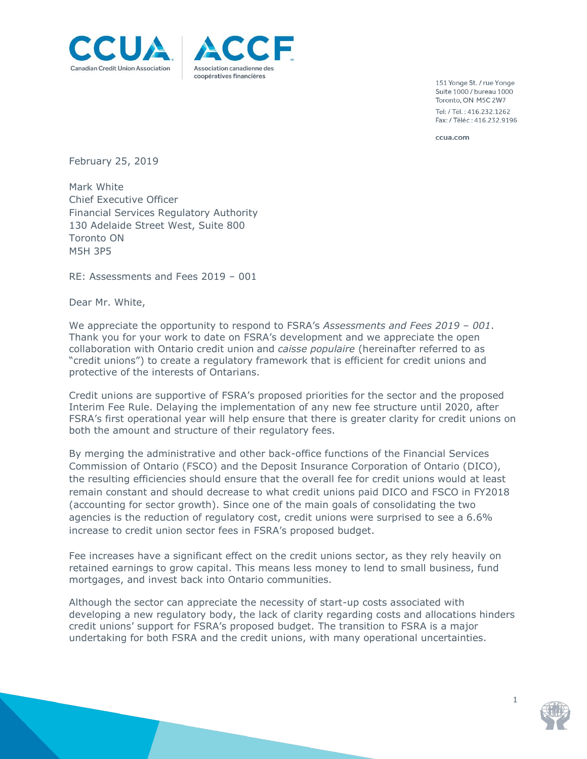



151 Yonge St. / rue Yonge Suite 1000 / bureau 1000 Toronto, ON M5C 2W7 Tel: / Tél.: 416.232.1262 Fax: / Téléc: 416.232.9196

ccua.com

February 25, 2019

Mark White Chief Executive Officer Financial Services Regulatory Authority 130 Adelaide Street West, Suite 800 Toronto ON M5H 3P5

RE: [Assessments and Fees](https://www.fsrao.ca/en/consultations/assessment-and-fees) 2019 – 001

Dear Mr. White,

We appreciate the opportunity to respond to FSRA's *[Assessments and Fees](https://www.fsrao.ca/en/consultations/assessment-and-fees) 2019 – 001*. Thank you for your work to date on FSRA's development and we appreciate the open collaboration with Ontario credit union and *caisse populaire* (hereinafter referred to as "credit unions") to create a regulatory framework that is efficient for credit unions and protective of the interests of Ontarians.

Credit unions are supportive of FSRA's proposed priorities for the sector and the proposed Interim Fee Rule. Delaying the implementation of any new fee structure until 2020, after FSRA's first operational year will help ensure that there is greater clarity for credit unions on both the amount and structure of their regulatory fees.

By merging the administrative and other back-office functions of the Financial Services Commission of Ontario (FSCO) and the Deposit Insurance Corporation of Ontario (DICO), the resulting efficiencies should ensure that the overall fee for credit unions would at least remain constant and should decrease to what credit unions paid DICO and FSCO in FY2018 (accounting for sector growth). Since one of the main goals of consolidating the two agencies is the reduction of regulatory cost, credit unions were surprised to see a 6.6% increase to credit union sector fees in FSRA's proposed budget.

Fee increases have a significant effect on the credit unions sector, as they rely heavily on retained earnings to grow capital. This means less money to lend to small business, fund mortgages, and invest back into Ontario communities.

Although the sector can appreciate the necessity of start-up costs associated with developing a new regulatory body, the lack of clarity regarding costs and allocations hinders credit unions' support for FSRA's proposed budget. The transition to FSRA is a major undertaking for both FSRA and the credit unions, with many operational uncertainties.

1